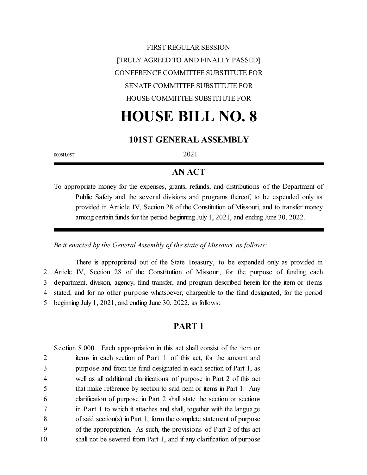FIRST REGULAR SESSION [TRULY AGREED TO AND FINALLY PASSED] CONFERENCE COMMITTEE SUBSTITUTE FOR SENATE COMMITTEE SUBSTITUTE FOR HOUSE COMMITTEE SUBSTITUTE FOR

# **HOUSE BILL NO. 8**

#### **101ST GENERAL ASSEMBLY**

0008H.05T 2021

#### **AN ACT**

To appropriate money for the expenses, grants, refunds, and distributions of the Department of Public Safety and the several divisions and programs thereof, to be expended only as provided in Article IV, Section 28 of the Constitution of Missouri, and to transfer money among certain funds for the period beginning July 1, 2021, and ending June 30, 2022.

*Be it enacted by the General Assembly of the state of Missouri, as follows:*

There is appropriated out of the State Treasury, to be expended only as provided in Article IV, Section 28 of the Constitution of Missouri, for the purpose of funding each department, division, agency, fund transfer, and program described herein for the item or items stated, and for no other purpose whatsoever, chargeable to the fund designated, for the period beginning July 1, 2021, and ending June 30, 2022, as follows:

#### **PART 1**

Section 8.000. Each appropriation in this act shall consist of the item or items in each section of Part 1 of this act, for the amount and purpose and from the fund designated in each section of Part 1, as well as all additional clarifications of purpose in Part 2 of this act that make reference by section to said item or items in Part 1. Any clarification of purpose in Part 2 shall state the section or sections in Part 1 to which it attaches and shall, together with the language of said section(s) in Part 1, form the complete statement of purpose of the appropriation. As such, the provisions of Part 2 of this act shall not be severed from Part 1, and if any clarification of purpose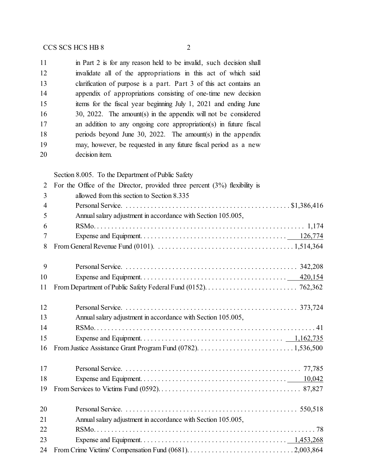| 11 | in Part 2 is for any reason held to be invalid, such decision shall |
|----|---------------------------------------------------------------------|
| 12 | invalidate all of the appropriations in this act of which said      |
| 13 | clarification of purpose is a part. Part 3 of this act contains an  |
| 14 | appendix of appropriations consisting of one-time new decision      |
| 15 | items for the fiscal year beginning July 1, 2021 and ending June    |
| 16 | 30, 2022. The amount(s) in the appendix will not be considered      |
| 17 | an addition to any ongoing core appropriation(s) in future fiscal   |
| 18 | periods beyond June 30, 2022. The amount(s) in the appendix         |
| 19 | may, however, be requested in any future fiscal period as a new     |
| 20 | decision <i>item</i> .                                              |

Section 8.005. To the Department of Public Safety

| $\overline{2}$ | For the Office of the Director, provided three percent $(3\%)$ flexibility is |
|----------------|-------------------------------------------------------------------------------|
| 3              | allowed from this section to Section 8.335                                    |
| $\overline{4}$ |                                                                               |
| 5              | Annual salary adjustment in accordance with Section 105.005,                  |
| 6              |                                                                               |
| 7              |                                                                               |
| 8              |                                                                               |
| 9              |                                                                               |
| 10             |                                                                               |
| 11             |                                                                               |
| 12             |                                                                               |
| 13             | Annual salary adjustment in accordance with Section 105.005,                  |
| 14             |                                                                               |
| 15             |                                                                               |
| 16             |                                                                               |
| 17             |                                                                               |
| 18             |                                                                               |
| 19             |                                                                               |
| 20             |                                                                               |
| 21             | Annual salary adjustment in accordance with Section 105.005,                  |
| 22             |                                                                               |
| 23             |                                                                               |
| 24             |                                                                               |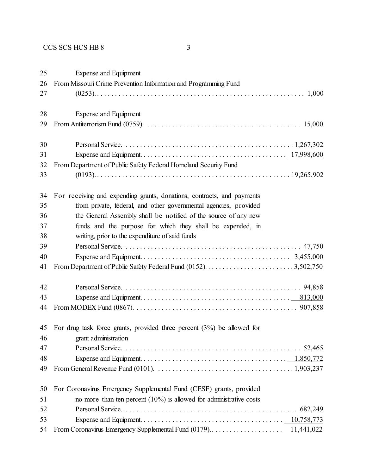Expense and Equipment From Missouri Crime Prevention Information and Programming Fund (0253). . . . . . . . . . . . . . . . . . . . . . . . . . . . . . . . . . . . . . . . . . . . . . . . . . . . . . . . . . . 1,000 Expense and Equipment From Antiterrorism Fund (0759). . . . . . . . . . . . . . . . . . . . . . . . . . . . . . . . . . . . . . . . . . . . 15,000 Personal Service. . . . . . . . . . . . . . . . . . . . . . . . . . . . . . . . . . . . . . . . . . . . . . . . 1,267,302 Expense and Equipment. . . . . . . . . . . . . . . . . . . . . . . . . . . . . . . . . . . . . . . . . 17,998,600 From Department of Public Safety Federal Homeland Security Fund (0193). . . . . . . . . . . . . . . . . . . . . . . . . . . . . . . . . . . . . . . . . . . . . . . . . . . . . . . 19,265,902 For receiving and expending grants, donations, contracts, and payments from private, federal, and other governmental agencies, provided the General Assembly shall be notified of the source of any new funds and the purpose for which they shall be expended, in writing, prior to the expenditure of said funds Personal Service. . . . . . . . . . . . . . . . . . . . . . . . . . . . . . . . . . . . . . . . . . . . . . . . . . 47,750 Expense and Equipment. . . . . . . . . . . . . . . . . . . . . . . . . . . . . . . . . . . . . . . . . . 3,455,000 From Department of Public Safety Federal Fund (0152). . . . . . . . . . . . . . . . . . . . . . . . . 3,502,750 Personal Service. . . . . . . . . . . . . . . . . . . . . . . . . . . . . . . . . . . . . . . . . . . . . . . . . . 94,858 Expense and Equipment. . . . . . . . . . . . . . . . . . . . . . . . . . . . . . . . . . . . . . . . . . 813,000 From MODEX Fund (0867). . . . . . . . . . . . . . . . . . . . . . . . . . . . . . . . . . . . . . . . . . . . . . 907,858 For drug task force grants, provided three percent (3%) be allowed for grant administration Personal Service. . . . . . . . . . . . . . . . . . . . . . . . . . . . . . . . . . . . . . . . . . . . . . . . . . 52,465 Expense and Equipment. . . . . . . . . . . . . . . . . . . . . . . . . . . . . . . . . . . . . . . . . 1,850,772 From General Revenue Fund (0101). . . . . . . . . . . . . . . . . . . . . . . . . . . . . . . . . . . . . . . 1,903,237 For Coronavirus Emergency Supplemental Fund (CESF) grants, provided no more than ten percent (10%) is allowed for administrative costs Personal Service. . . . . . . . . . . . . . . . . . . . . . . . . . . . . . . . . . . . . . . . . . . . . . . . . 682,249 Expense and Equipment. . . . . . . . . . . . . . . . . . . . . . . . . . . . . . . . . . . . . . . . 10,758,773 From Coronavirus Emergency Supplemental Fund (0179).. . . . . . . . . . . . . . . . . . . . 11,441,022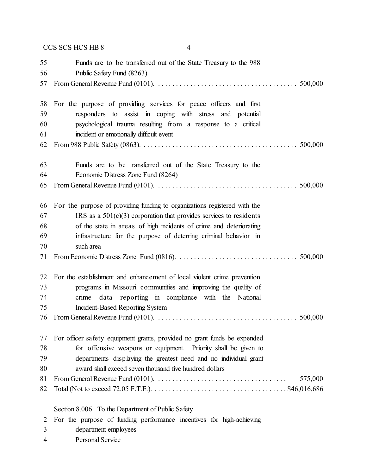| 55<br>56 | Funds are to be transferred out of the State Treasury to the 988<br>Public Safety Fund (8263)                                          |
|----------|----------------------------------------------------------------------------------------------------------------------------------------|
| 57       | 500,000                                                                                                                                |
| 58       | For the purpose of providing services for peace officers and first                                                                     |
| 59       | responders to assist in coping with stress and potential                                                                               |
| 60       | psychological trauma resulting from a response to a critical                                                                           |
| 61       | incident or emotionally difficult event                                                                                                |
| 62       | 500,000                                                                                                                                |
| 63       | Funds are to be transferred out of the State Treasury to the                                                                           |
| 64       | Economic Distress Zone Fund (8264)                                                                                                     |
| 65       | 500,000                                                                                                                                |
| 66       | For the purpose of providing funding to organizations registered with the                                                              |
| 67       | IRS as a $501(c)(3)$ corporation that provides services to residents                                                                   |
| 68       | of the state in areas of high incidents of crime and deteriorating                                                                     |
| 69       | infrastructure for the purpose of deterring criminal behavior in                                                                       |
| 70       | such area                                                                                                                              |
| 71       | 500,000                                                                                                                                |
| 72       | For the establishment and enhancement of local violent crime prevention                                                                |
| 73       | programs in Missouri communities and improving the quality of                                                                          |
| 74       | data reporting in compliance with the National<br>crime                                                                                |
| 75       | <b>Incident-Based Reporting System</b>                                                                                                 |
| 76       | 500,000                                                                                                                                |
| 77       | For officer safety equipment grants, provided no grant funds be expended                                                               |
| 78       | for offensive weapons or equipment. Priority shall be given to                                                                         |
| 79       | departments displaying the greatest need and no individual grant                                                                       |
| 80       | award shall exceed seven thousand five hundred dollars                                                                                 |
| 81       | From General Revenue Fund (0101). $\ldots \ldots \ldots \ldots \ldots \ldots \ldots \ldots \ldots \ldots \ldots$<br>575,000            |
| 82       | Total (Not to exceed 72.05 F.T.E.). $\dots \dots \dots \dots \dots \dots \dots \dots \dots \dots \dots \dots \dots \dots$ \$46,016,686 |
|          | Section 8.006. To the Department of Public Safety                                                                                      |
| 2        | For the purpose of funding performance incentives for high-achieving                                                                   |
| 3        | department employees                                                                                                                   |

- 
- Personal Service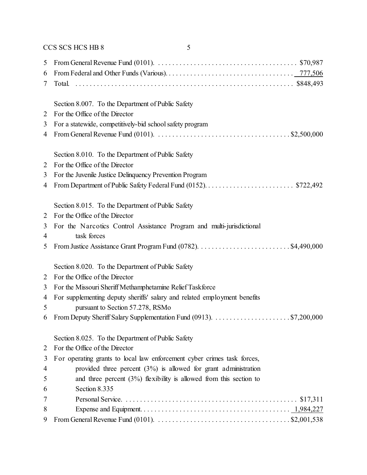| 5              | From General Revenue Fund (0101). $\ldots \ldots \ldots \ldots \ldots \ldots \ldots \ldots \ldots \ldots \ldots \ldots$ \$70,987 |
|----------------|----------------------------------------------------------------------------------------------------------------------------------|
| 6              |                                                                                                                                  |
| 7              |                                                                                                                                  |
|                | Section 8.007. To the Department of Public Safety                                                                                |
| 2              | For the Office of the Director                                                                                                   |
| 3              | For a statewide, competitively-bid school safety program                                                                         |
| 4              | From General Revenue Fund (0101). $\ldots \ldots \ldots \ldots \ldots \ldots \ldots \ldots \ldots \ldots \ldots$ \$2,500,000     |
|                | Section 8.010. To the Department of Public Safety                                                                                |
| 2              | For the Office of the Director                                                                                                   |
| 3              | For the Juvenile Justice Delinquency Prevention Program                                                                          |
| 4              |                                                                                                                                  |
|                | Section 8.015. To the Department of Public Safety                                                                                |
| $\overline{2}$ | For the Office of the Director                                                                                                   |
| 3<br>4         | For the Narcotics Control Assistance Program and multi-jurisdictional<br>task forces                                             |
| 5              |                                                                                                                                  |
|                | Section 8.020. To the Department of Public Safety                                                                                |
| $\overline{2}$ | For the Office of the Director                                                                                                   |
| 3              | For the Missouri Sheriff Methamphetamine Relief Taskforce                                                                        |
| 4              | For supplementing deputy sheriffs' salary and related employment benefits                                                        |
| 5              | pursuant to Section 57.278, RSMo                                                                                                 |
| 6              |                                                                                                                                  |
|                | Section 8.025. To the Department of Public Safety                                                                                |
| 2              | For the Office of the Director                                                                                                   |
| 3              | For operating grants to local law enforcement cyber crimes task forces,                                                          |
| 4              | provided three percent $(3%)$ is allowed for grant administration                                                                |
| 5              | and three percent $(3%)$ flexibility is allowed from this section to                                                             |
| b              | Section 8.335                                                                                                                    |
| 7              |                                                                                                                                  |
| 8              |                                                                                                                                  |
| 9              | From General Revenue Fund (0101). $\ldots \ldots \ldots \ldots \ldots \ldots \ldots \ldots \ldots \ldots \ldots$ \$2,001,538     |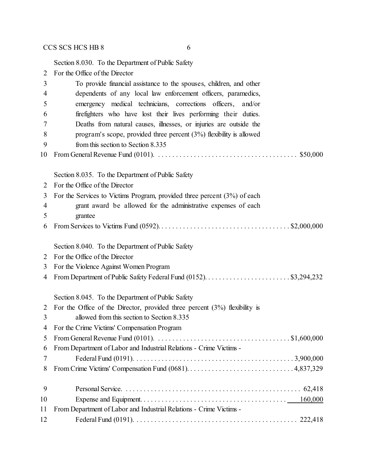Section 8.030. To the Department of Public Safety For the Office of the Director To provide financial assistance to the spouses, children, and other dependents of any local law enforcement officers, paramedics, emergency medical technicians, corrections officers, and/or firefighters who have lost their lives performing their duties. Deaths from natural causes, illnesses, or injuries are outside the program's scope, provided three percent (3%) flexibility is allowed from this section to Section 8.335 From General Revenue Fund (0101). . . . . . . . . . . . . . . . . . . . . . . . . . . . . . . . . . . . . . . . \$50,000 Section 8.035. To the Department of Public Safety For the Office of the Director For the Services to Victims Program, provided three percent (3%) of each grant award be allowed for the administrative expenses of each grantee From Services to Victims Fund (0592). . . . . . . . . . . . . . . . . . . . . . . . . . . . . . . . . . . . . \$2,000,000 Section 8.040. To the Department of Public Safety For the Office of the Director For the Violence Against Women Program From Department of Public Safety Federal Fund (0152). . . . . . . . . . . . . . . . . . . . . . . . \$3,294,232 Section 8.045. To the Department of Public Safety For the Office of the Director, provided three percent (3%) flexibility is allowed from this section to Section 8.335 For the Crime Victims' Compensation Program From General Revenue Fund (0101). . . . . . . . . . . . . . . . . . . . . . . . . . . . . . . . . . . . . . \$1,600,000 From Department of Labor and Industrial Relations - Crime Victims - Federal Fund (0191). . . . . . . . . . . . . . . . . . . . . . . . . . . . . . . . . . . . . . . . . . . . . 3,900,000 From Crime Victims' Compensation Fund (0681). . . . . . . . . . . . . . . . . . . . . . . . . . . . . . 4,837,329 Personal Service. . . . . . . . . . . . . . . . . . . . . . . . . . . . . . . . . . . . . . . . . . . . . . . . . . 62,418 Expense and Equipment. . . . . . . . . . . . . . . . . . . . . . . . . . . . . . . . . . . . . . . . . 160,000 From Department of Labor and Industrial Relations - Crime Victims -

Federal Fund (0191). . . . . . . . . . . . . . . . . . . . . . . . . . . . . . . . . . . . . . . . . . . . . . 222,418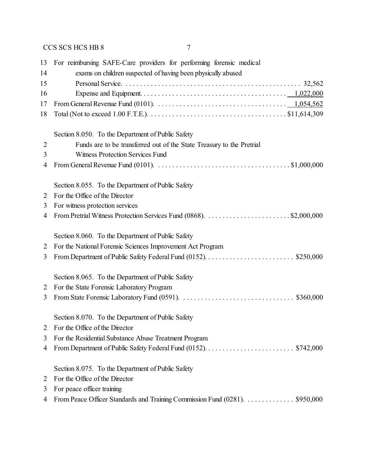| 13             | For reimbursing SAFE-Care providers for performing forensic medical                                                          |
|----------------|------------------------------------------------------------------------------------------------------------------------------|
| 14             | exams on children suspected of having been physically abused                                                                 |
| 15             |                                                                                                                              |
| 16             |                                                                                                                              |
| 17             |                                                                                                                              |
| 18             |                                                                                                                              |
|                | Section 8.050. To the Department of Public Safety                                                                            |
| $\overline{2}$ | Funds are to be transferred out of the State Treasury to the Pretrial                                                        |
| 3              | <b>Witness Protection Services Fund</b>                                                                                      |
| 4              | From General Revenue Fund (0101). $\ldots \ldots \ldots \ldots \ldots \ldots \ldots \ldots \ldots \ldots \ldots$ \$1,000,000 |
|                | Section 8.055. To the Department of Public Safety                                                                            |
| 2              | For the Office of the Director                                                                                               |
| 3              | For witness protection services                                                                                              |
| 4              |                                                                                                                              |
|                | Section 8.060. To the Department of Public Safety                                                                            |
| 2              | For the National Forensic Sciences Improvement Act Program                                                                   |
| 3              |                                                                                                                              |
|                | Section 8.065. To the Department of Public Safety                                                                            |
| 2              | For the State Forensic Laboratory Program                                                                                    |
| 3              |                                                                                                                              |
|                | Section 8.070. To the Department of Public Safety                                                                            |
|                | For the Office of the Director                                                                                               |
| 3              | For the Residential Substance Abuse Treatment Program                                                                        |
| 4              |                                                                                                                              |
|                | Section 8.075. To the Department of Public Safety                                                                            |
| 2              | For the Office of the Director                                                                                               |
| 3              | For peace officer training                                                                                                   |
| 4              | From Peace Officer Standards and Training Commission Fund (0281). \$950,000                                                  |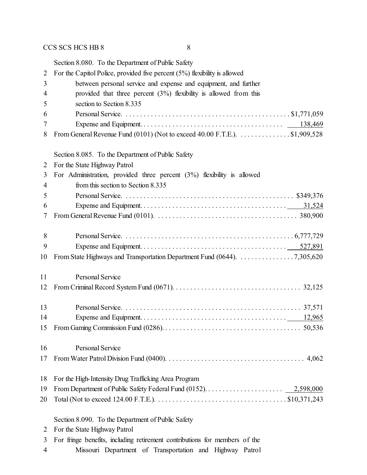|                | Section 8.080. To the Department of Public Safety                                                                                      |
|----------------|----------------------------------------------------------------------------------------------------------------------------------------|
| $\overline{2}$ | For the Capitol Police, provided five percent $(5%)$ flexibility is allowed                                                            |
| 3              | between personal service and expense and equipment, and further                                                                        |
| 4              | provided that three percent $(3%)$ flexibility is allowed from this                                                                    |
| 5              | section to Section 8.335                                                                                                               |
| 6              |                                                                                                                                        |
| 7              |                                                                                                                                        |
| 8              | From General Revenue Fund (0101) (Not to exceed 40.00 F.T.E.). \$1,909,528                                                             |
|                | Section 8.085. To the Department of Public Safety                                                                                      |
| 2              | For the State Highway Patrol                                                                                                           |
| 3              | For Administration, provided three percent $(3%)$ flexibility is allowed                                                               |
| 4              | from this section to Section 8.335                                                                                                     |
| 5              |                                                                                                                                        |
| 6              |                                                                                                                                        |
| 7              | From General Revenue Fund (0101). $\ldots \ldots \ldots \ldots \ldots \ldots \ldots \ldots \ldots \ldots \ldots \ldots \ldots$ 380,900 |
| 8              |                                                                                                                                        |
| 9              |                                                                                                                                        |
| 10             | From State Highways and Transportation Department Fund (0644). 7,305,620                                                               |
| 11             | <b>Personal Service</b>                                                                                                                |
| 12             |                                                                                                                                        |
| 13             |                                                                                                                                        |
| 14             |                                                                                                                                        |
|                |                                                                                                                                        |
| 16             | Personal Service                                                                                                                       |
| 17             |                                                                                                                                        |
| 18             | For the High-Intensity Drug Trafficking Area Program                                                                                   |
| 19             |                                                                                                                                        |
| 20             |                                                                                                                                        |
|                | Section 8.090. To the Department of Public Safety                                                                                      |
| 2              | For the State Highway Patrol                                                                                                           |
| 3              | For fringe benefits, including retirement contributions for members of the                                                             |
| 4              | Missouri Department of Transportation and Highway Patrol                                                                               |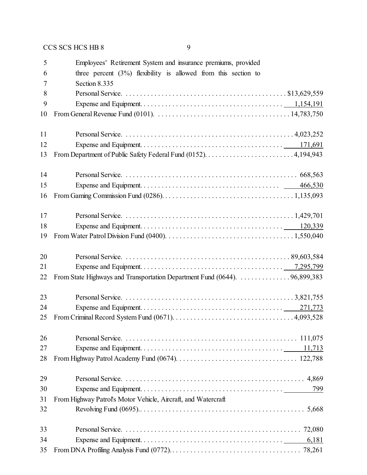| 5  | Employees' Retirement System and insurance premiums, provided                                                                      |
|----|------------------------------------------------------------------------------------------------------------------------------------|
| 6  | three percent $(3\%)$ flexibility is allowed from this section to                                                                  |
| 7  | Section 8.335                                                                                                                      |
| 8  |                                                                                                                                    |
| 9  |                                                                                                                                    |
| 10 | From General Revenue Fund (0101). $\ldots \ldots \ldots \ldots \ldots \ldots \ldots \ldots \ldots \ldots \ldots \ldots 14,783,750$ |
| 11 |                                                                                                                                    |
| 12 |                                                                                                                                    |
| 13 |                                                                                                                                    |
| 14 |                                                                                                                                    |
| 15 |                                                                                                                                    |
| 16 |                                                                                                                                    |
| 17 |                                                                                                                                    |
| 18 |                                                                                                                                    |
| 19 |                                                                                                                                    |
| 20 |                                                                                                                                    |
| 21 |                                                                                                                                    |
| 22 | From State Highways and Transportation Department Fund (0644). 96,899,383                                                          |
| 23 |                                                                                                                                    |
| 24 |                                                                                                                                    |
| 25 |                                                                                                                                    |
| 26 |                                                                                                                                    |
| 27 |                                                                                                                                    |
| 28 |                                                                                                                                    |
| 29 |                                                                                                                                    |
| 30 | 799                                                                                                                                |
| 31 | From Highway Patrol's Motor Vehicle, Aircraft, and Watercraft                                                                      |
| 32 |                                                                                                                                    |
| 33 |                                                                                                                                    |
| 34 | 6,181                                                                                                                              |
| 35 |                                                                                                                                    |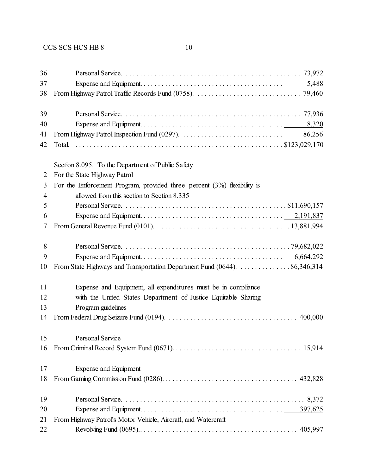| 36             |                                                                                                                                           |
|----------------|-------------------------------------------------------------------------------------------------------------------------------------------|
| 37<br>38       |                                                                                                                                           |
| 39             |                                                                                                                                           |
| 40             | 8,320                                                                                                                                     |
| 41             | 86,256                                                                                                                                    |
| 42             | Total.                                                                                                                                    |
|                | Section 8.095. To the Department of Public Safety                                                                                         |
| 2              | For the State Highway Patrol                                                                                                              |
| 3              | For the Enforcement Program, provided three percent $(3%)$ flexibility is                                                                 |
| $\overline{4}$ | allowed from this section to Section 8.335                                                                                                |
| 5              |                                                                                                                                           |
| 6              |                                                                                                                                           |
| 7              | From General Revenue Fund (0101). $\ldots \ldots \ldots \ldots \ldots \ldots \ldots \ldots \ldots \ldots \ldots \ldots \ldots$ 13,881,994 |
| 8              |                                                                                                                                           |
| 9              |                                                                                                                                           |
| 10             | From State Highways and Transportation Department Fund (0644). 86,346,314                                                                 |
| 11             | Expense and Equipment, all expenditures must be in compliance                                                                             |
| 12             | with the United States Department of Justice Equitable Sharing                                                                            |
| 13             | Program guidelines                                                                                                                        |
| 14             |                                                                                                                                           |
| 15             | <b>Personal Service</b>                                                                                                                   |
| 16             |                                                                                                                                           |
| 17             | Expense and Equipment                                                                                                                     |
| 18             |                                                                                                                                           |
| 19             |                                                                                                                                           |
| 20             |                                                                                                                                           |
| 21             | From Highway Patrol's Motor Vehicle, Aircraft, and Watercraft                                                                             |
| 22             |                                                                                                                                           |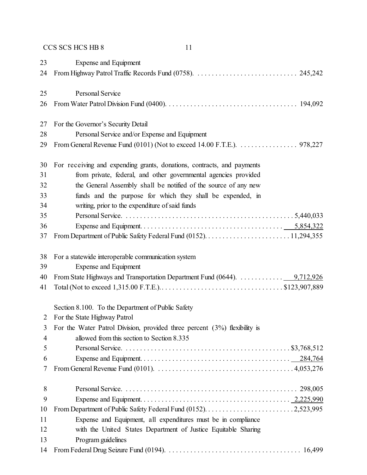| 23             | Expense and Equipment                                                                                  |
|----------------|--------------------------------------------------------------------------------------------------------|
| 24             |                                                                                                        |
|                |                                                                                                        |
| 25             | <b>Personal Service</b>                                                                                |
| 26             |                                                                                                        |
|                |                                                                                                        |
| 27             | For the Governor's Security Detail                                                                     |
| 28             | Personal Service and/or Expense and Equipment                                                          |
| 29             | From General Revenue Fund (0101) (Not to exceed 14.00 F.T.E.). $\dots \dots \dots \dots \dots$ 978,227 |
| 30             | For receiving and expending grants, donations, contracts, and payments                                 |
| 31             | from private, federal, and other governmental agencies provided                                        |
| 32             | the General Assembly shall be notified of the source of any new                                        |
| 33             | funds and the purpose for which they shall be expended, in                                             |
| 34             | writing, prior to the expenditure of said funds                                                        |
| 35             |                                                                                                        |
| 36             |                                                                                                        |
| 37             |                                                                                                        |
|                |                                                                                                        |
| 38             | For a statewide interoperable communication system                                                     |
| 39             | <b>Expense and Equipment</b>                                                                           |
| 40             | From State Highways and Transportation Department Fund $(0644)$ . 9,712,926                            |
| 41             |                                                                                                        |
|                |                                                                                                        |
|                | Section 8.100. To the Department of Public Safety                                                      |
| 2              | For the State Highway Patrol                                                                           |
| 3              | For the Water Patrol Division, provided three percent $(3%)$ flexibility is                            |
| $\overline{4}$ | allowed from this section to Section 8.335                                                             |
| 5              |                                                                                                        |
| 6              |                                                                                                        |
| 7              |                                                                                                        |
| 8              |                                                                                                        |
| 9              |                                                                                                        |
| 10             |                                                                                                        |
| 11             | Expense and Equipment, all expenditures must be in compliance                                          |
| 12             | with the United States Department of Justice Equitable Sharing                                         |
| 13             | Program guidelines                                                                                     |
| 14             |                                                                                                        |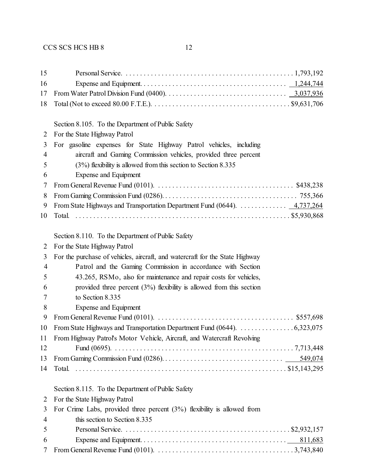| 15             |                                                                                                                                   |
|----------------|-----------------------------------------------------------------------------------------------------------------------------------|
| 16             |                                                                                                                                   |
| 17             |                                                                                                                                   |
| 18             | Total (Not to exceed 80.00 F.T.E.). $\dots \dots \dots \dots \dots \dots \dots \dots \dots \dots \dots \dots \dots \$ \$9,631,706 |
|                |                                                                                                                                   |
|                | Section 8.105. To the Department of Public Safety                                                                                 |
| 2              | For the State Highway Patrol                                                                                                      |
| 3              | For gasoline expenses for State Highway Patrol vehicles, including                                                                |
| 4              | aircraft and Gaming Commission vehicles, provided three percent                                                                   |
| 5              | $(3%)$ flexibility is allowed from this section to Section 8.335                                                                  |
| 6              | Expense and Equipment                                                                                                             |
| 7              | From General Revenue Fund (0101). $\ldots \ldots \ldots \ldots \ldots \ldots \ldots \ldots \ldots \ldots$ \$438,238               |
| 8              |                                                                                                                                   |
| 9              | From State Highways and Transportation Department Fund (0644). $\dots \dots \dots \dots \dots \dots 4,737,264$                    |
| 10             |                                                                                                                                   |
|                |                                                                                                                                   |
|                | Section 8.110. To the Department of Public Safety                                                                                 |
| 2              | For the State Highway Patrol                                                                                                      |
| 3              | For the purchase of vehicles, aircraft, and watercraft for the State Highway                                                      |
| 4              | Patrol and the Gaming Commission in accordance with Section                                                                       |
| 5              | 43.265, RSMo, also for maintenance and repair costs for vehicles,                                                                 |
| 6              | provided three percent $(3%)$ flexibility is allowed from this section                                                            |
| 7              | to Section 8.335                                                                                                                  |
| 8              | <b>Expense and Equipment</b>                                                                                                      |
| 9              | From General Revenue Fund (0101). $\ldots \ldots \ldots \ldots \ldots \ldots \ldots \ldots \ldots \ldots \ldots$ \$557,698        |
| 10             |                                                                                                                                   |
| 11             | From Highway Patrol's Motor Vehicle, Aircraft, and Watercraft Revolving                                                           |
| 12             |                                                                                                                                   |
| 13             |                                                                                                                                   |
| 14             |                                                                                                                                   |
|                |                                                                                                                                   |
|                | Section 8.115. To the Department of Public Safety                                                                                 |
| 2              | For the State Highway Patrol                                                                                                      |
| 3              | For Crime Labs, provided three percent $(3%)$ flexibility is allowed from                                                         |
| $\overline{4}$ | this section to Section 8.335                                                                                                     |
| 5              |                                                                                                                                   |
| 6              |                                                                                                                                   |
| 7              |                                                                                                                                   |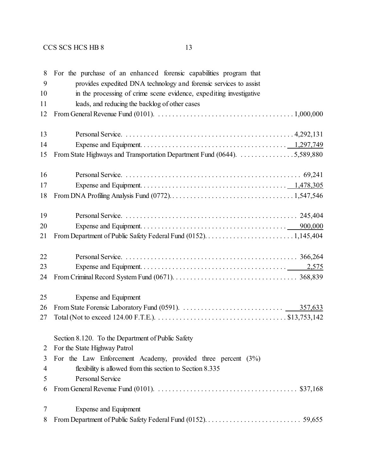| 8              | For the purchase of an enhanced forensic capabilities program that                                                                        |
|----------------|-------------------------------------------------------------------------------------------------------------------------------------------|
| 9              | provides expedited DNA technology and forensic services to assist                                                                         |
| 10             | in the processing of crime scene evidence, expediting investigative                                                                       |
| 11             | leads, and reducing the backlog of other cases                                                                                            |
| 12             | From General Revenue Fund (0101). $\ldots \ldots \ldots \ldots \ldots \ldots \ldots \ldots \ldots \ldots \ldots \ldots \ldots 1,000,000$  |
| 13             |                                                                                                                                           |
| 14             |                                                                                                                                           |
| 15             | From State Highways and Transportation Department Fund (0644). 5,589,880                                                                  |
| 16             |                                                                                                                                           |
| 17             |                                                                                                                                           |
| 18             |                                                                                                                                           |
| 19             |                                                                                                                                           |
| 20             |                                                                                                                                           |
| 21             |                                                                                                                                           |
|                |                                                                                                                                           |
| 22             |                                                                                                                                           |
| 23             |                                                                                                                                           |
| 24             |                                                                                                                                           |
| 25             | Expense and Equipment                                                                                                                     |
| 26             |                                                                                                                                           |
| 27             | Total (Not to exceed 124.00 F.T.E.). $\dots \dots \dots \dots \dots \dots \dots \dots \dots \dots \dots \dots \dots \dots \$ \$13,753,142 |
|                | Section 8.120. To the Department of Public Safety                                                                                         |
| 2              | For the State Highway Patrol                                                                                                              |
| 3              | For the Law Enforcement Academy, provided three percent $(3\%)$                                                                           |
| $\overline{4}$ | flexibility is allowed from this section to Section 8.335                                                                                 |
| 5              | Personal Service                                                                                                                          |
| 6              |                                                                                                                                           |
| 7              | <b>Expense and Equipment</b>                                                                                                              |
| 8              |                                                                                                                                           |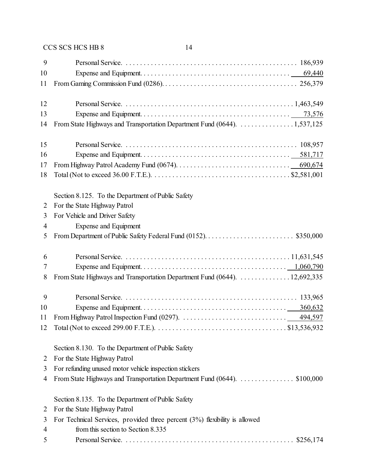| 9              |                                                                              |
|----------------|------------------------------------------------------------------------------|
| 10             |                                                                              |
| 11             |                                                                              |
| 12             |                                                                              |
| 13             |                                                                              |
| 14             | From State Highways and Transportation Department Fund (0644). 1,537,125     |
| 15             |                                                                              |
| 16             |                                                                              |
| 17             |                                                                              |
| 18             |                                                                              |
|                | Section 8.125. To the Department of Public Safety                            |
| 2              | For the State Highway Patrol                                                 |
| 3              | For Vehicle and Driver Safety                                                |
| 4              | <b>Expense and Equipment</b>                                                 |
| 5              |                                                                              |
| 6              |                                                                              |
| 7              |                                                                              |
| 8              | From State Highways and Transportation Department Fund (0644). 12,692,335    |
| 9              |                                                                              |
| 10             |                                                                              |
| 11             |                                                                              |
| 12             |                                                                              |
|                | Section 8.130. To the Department of Public Safety                            |
| 2              | For the State Highway Patrol                                                 |
| 3              | For refunding unused motor vehicle inspection stickers                       |
| 4              |                                                                              |
|                | Section 8.135. To the Department of Public Safety                            |
| 2              | For the State Highway Patrol                                                 |
| 3              | For Technical Services, provided three percent $(3%)$ flexibility is allowed |
| $\overline{4}$ | from this section to Section 8.335                                           |
| 5              |                                                                              |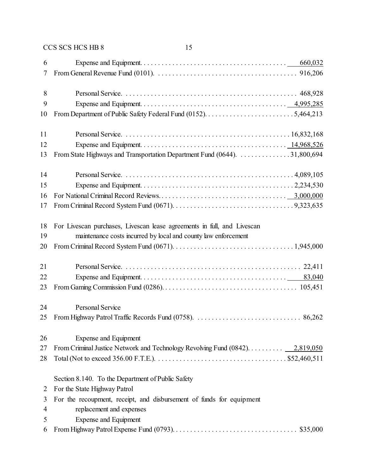| 6  |                                                                                |
|----|--------------------------------------------------------------------------------|
| 7  |                                                                                |
| 8  |                                                                                |
| 9  |                                                                                |
| 10 |                                                                                |
| 11 |                                                                                |
| 12 |                                                                                |
| 13 | From State Highways and Transportation Department Fund (0644). 31,800,694      |
| 14 |                                                                                |
| 15 |                                                                                |
| 16 |                                                                                |
| 17 |                                                                                |
| 18 | For Livescan purchases, Livescan lease agreements in full, and Livescan        |
| 19 | maintenance costs incurred by local and county law enforcement                 |
| 20 |                                                                                |
| 21 |                                                                                |
| 22 |                                                                                |
| 23 |                                                                                |
| 24 | <b>Personal Service</b>                                                        |
| 25 |                                                                                |
| 26 | Expense and Equipment                                                          |
| 27 | From Criminal Justice Network and Technology Revolving Fund $(0842)$ 2,819,050 |
| 28 |                                                                                |
|    | Section 8.140. To the Department of Public Safety                              |
| 2  | For the State Highway Patrol                                                   |
| 3  | For the recoupment, receipt, and disbursement of funds for equipment           |
| 4  | replacement and expenses                                                       |
| 5  | <b>Expense and Equipment</b>                                                   |
| 6  |                                                                                |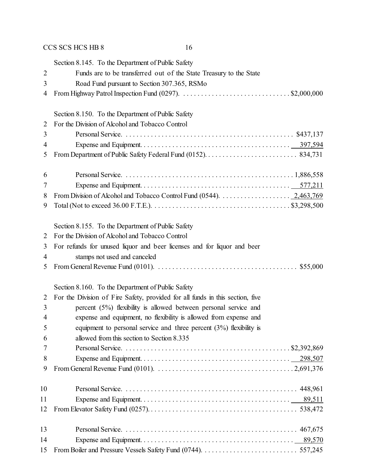|                | Section 8.145. To the Department of Public Safety                                                                                       |
|----------------|-----------------------------------------------------------------------------------------------------------------------------------------|
| $\overline{2}$ | Funds are to be transferred out of the State Treasury to the State                                                                      |
| 3              | Road Fund pursuant to Section 307.365, RSMo                                                                                             |
| 4              |                                                                                                                                         |
|                | Section 8.150. To the Department of Public Safety                                                                                       |
| 2              | For the Division of Alcohol and Tobacco Control                                                                                         |
| 3              |                                                                                                                                         |
| 4              |                                                                                                                                         |
| 5              |                                                                                                                                         |
| 6              |                                                                                                                                         |
| 7              |                                                                                                                                         |
| 8              | From Division of Alcohol and Tobacco Control Fund (0544). $\ldots \ldots \ldots \ldots \ldots \ldots$ 2,463,769                         |
| 9              |                                                                                                                                         |
|                | Section 8.155. To the Department of Public Safety                                                                                       |
| 2              | For the Division of Alcohol and Tobacco Control                                                                                         |
| 3              | For refunds for unused liquor and beer licenses and for liquor and beer                                                                 |
| 4              | stamps not used and canceled                                                                                                            |
| 5              | From General Revenue Fund (0101). $\ldots \ldots \ldots \ldots \ldots \ldots \ldots \ldots \ldots \ldots \ldots \ldots \ldots$ \$55,000 |
|                | Section 8.160. To the Department of Public Safety                                                                                       |
| 2              | For the Division of Fire Safety, provided for all funds in this section, five                                                           |
| 3              | percent (5%) flexibility is allowed between personal service and                                                                        |
| 4              | expense and equipment, no flexibility is allowed from expense and                                                                       |
| 5              | equipment to personal service and three percent $(3%)$ flexibility is                                                                   |
| 6              | allowed from this section to Section 8.335                                                                                              |
| 7              |                                                                                                                                         |
| 8              |                                                                                                                                         |
| 9              |                                                                                                                                         |
| 10             |                                                                                                                                         |
| 11             |                                                                                                                                         |
| 12             |                                                                                                                                         |
| 13             |                                                                                                                                         |
| 14             |                                                                                                                                         |
| 15             |                                                                                                                                         |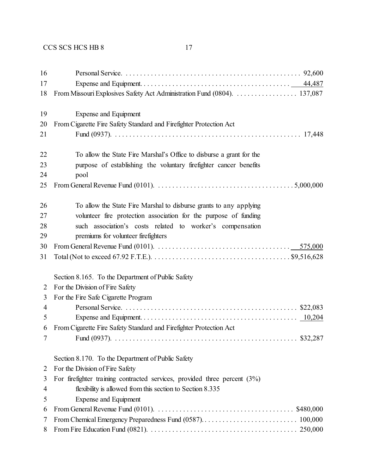| 16             |                                                                                                                                            |
|----------------|--------------------------------------------------------------------------------------------------------------------------------------------|
| 17             |                                                                                                                                            |
| 18             | From Missouri Explosives Safety Act Administration Fund (0804).  137,087                                                                   |
|                |                                                                                                                                            |
| 19             | Expense and Equipment                                                                                                                      |
| 20             | From Cigarette Fire Safety Standard and Firefighter Protection Act                                                                         |
| 21             |                                                                                                                                            |
| 22             | To allow the State Fire Marshal's Office to disburse a grant for the                                                                       |
| 23             | purpose of establishing the voluntary firefighter cancer benefits                                                                          |
| 24             | pool                                                                                                                                       |
| 25             | From General Revenue Fund (0101). $\ldots \ldots \ldots \ldots \ldots \ldots \ldots \ldots \ldots \ldots \ldots \ldots \ldots$ . 5,000,000 |
| 26             | To allow the State Fire Marshal to disburse grants to any applying                                                                         |
| 27             | volunteer fire protection association for the purpose of funding                                                                           |
| 28             | such association's costs related to worker's compensation                                                                                  |
| 29             | premiums for volunteer firefighters                                                                                                        |
| 30             | From General Revenue Fund (0101). $\ldots \ldots \ldots \ldots \ldots \ldots \ldots \ldots \ldots \ldots \ldots \ldots \ldots 575,000$     |
| 31             |                                                                                                                                            |
|                | Section 8.165. To the Department of Public Safety                                                                                          |
| 2              | For the Division of Fire Safety                                                                                                            |
| 3              | For the Fire Safe Cigarette Program                                                                                                        |
| $\overline{4}$ |                                                                                                                                            |
| 5              |                                                                                                                                            |
| 6              | From Cigarette Fire Safety Standard and Firefighter Protection Act                                                                         |
|                |                                                                                                                                            |
|                | Section 8.170. To the Department of Public Safety                                                                                          |
| 2              | For the Division of Fire Safety                                                                                                            |
| 3              | For firefighter training contracted services, provided three percent $(3%)$                                                                |
| 4              | flexibility is allowed from this section to Section 8.335                                                                                  |
| 5              | Expense and Equipment                                                                                                                      |
| 6              | From General Revenue Fund (0101). $\ldots \ldots \ldots \ldots \ldots \ldots \ldots \ldots \ldots \ldots$ \$480,000                        |
| 7              |                                                                                                                                            |
| 8              |                                                                                                                                            |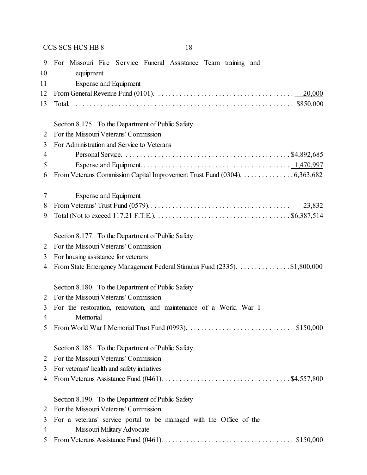| 9                   | For Missouri Fire Service Funeral Assistance Team training and                                                                 |  |  |
|---------------------|--------------------------------------------------------------------------------------------------------------------------------|--|--|
| 10                  | equipment                                                                                                                      |  |  |
| 11                  | Expense and Equipment                                                                                                          |  |  |
| 12                  | From General Revenue Fund (0101). $\ldots \ldots \ldots \ldots \ldots \ldots \ldots \ldots \ldots \ldots \ldots \ldots$ 20,000 |  |  |
| 13                  |                                                                                                                                |  |  |
|                     |                                                                                                                                |  |  |
|                     | Section 8.175. To the Department of Public Safety                                                                              |  |  |
| 2                   | For the Missouri Veterans' Commission                                                                                          |  |  |
| 3                   | For Administration and Service to Veterans                                                                                     |  |  |
| 4                   |                                                                                                                                |  |  |
| 5                   |                                                                                                                                |  |  |
| 6                   | From Veterans Commission Capital Improvement Trust Fund (0304). 6,363,682                                                      |  |  |
|                     |                                                                                                                                |  |  |
| 7                   | <b>Expense and Equipment</b>                                                                                                   |  |  |
| 8                   |                                                                                                                                |  |  |
| 9                   |                                                                                                                                |  |  |
|                     |                                                                                                                                |  |  |
|                     | Section 8.177. To the Department of Public Safety                                                                              |  |  |
| 2                   | For the Missouri Veterans' Commission                                                                                          |  |  |
| 3                   | For housing assistance for veterans                                                                                            |  |  |
| 4                   | From State Emergency Management Federal Stimulus Fund (2335). \$1,800,000                                                      |  |  |
|                     |                                                                                                                                |  |  |
|                     | Section 8.180. To the Department of Public Safety                                                                              |  |  |
| 2                   | For the Missouri Veterans' Commission                                                                                          |  |  |
| 3<br>$\overline{4}$ | For the restoration, renovation, and maintenance of a World War I<br>Memorial                                                  |  |  |
|                     |                                                                                                                                |  |  |
|                     |                                                                                                                                |  |  |
|                     | Section 8.185. To the Department of Public Safety                                                                              |  |  |
| 2                   | For the Missouri Veterans' Commission                                                                                          |  |  |
| 3                   | For veterans' health and safety initiatives                                                                                    |  |  |
| 4                   |                                                                                                                                |  |  |
|                     |                                                                                                                                |  |  |
|                     | Section 8.190. To the Department of Public Safety                                                                              |  |  |
| 2                   | For the Missouri Veterans' Commission                                                                                          |  |  |
| 3                   | For a veterans' service portal to be managed with the Office of the                                                            |  |  |
| 4                   | Missouri Military Advocate                                                                                                     |  |  |
| 5                   |                                                                                                                                |  |  |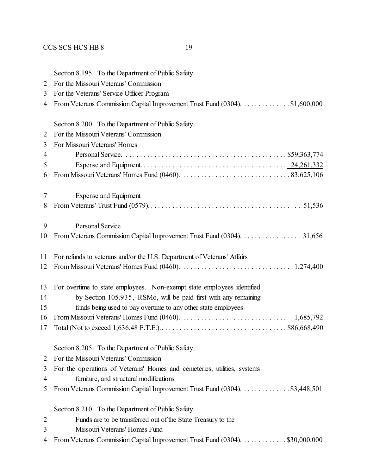|                | Section 8.195. To the Department of Public Safety                                                                                          |  |
|----------------|--------------------------------------------------------------------------------------------------------------------------------------------|--|
| $\overline{2}$ | For the Missouri Veterans' Commission                                                                                                      |  |
| 3              | For the Veterans' Service Officer Program                                                                                                  |  |
| 4              | From Veterans Commission Capital Improvement Trust Fund (0304). \$1,600,000                                                                |  |
|                | Section 8.200. To the Department of Public Safety                                                                                          |  |
| 2              | For the Missouri Veterans' Commission                                                                                                      |  |
| 3              | For Missouri Veterans' Homes                                                                                                               |  |
| 4              |                                                                                                                                            |  |
| 5              |                                                                                                                                            |  |
| 6              |                                                                                                                                            |  |
| 7              | Expense and Equipment                                                                                                                      |  |
| 8              |                                                                                                                                            |  |
| 9              | Personal Service                                                                                                                           |  |
| 10             | From Veterans Commission Capital Improvement Trust Fund (0304). 31,656                                                                     |  |
| 11             | For refunds to veterans and/or the U.S. Department of Veterans' Affairs                                                                    |  |
| 12             |                                                                                                                                            |  |
| 13             | For overtime to state employees. Non-exempt state employees identified                                                                     |  |
| 14             | by Section 105.935, RSMo, will be paid first with any remaining                                                                            |  |
| 15             | funds being used to pay overtime to any other state employees                                                                              |  |
| 16             | From Missouri Veterans' Homes Fund (0460). $\ldots \ldots \ldots \ldots \ldots \ldots \ldots \ldots \ldots \ldots \ldots \ldots 1,685,792$ |  |
| 17             |                                                                                                                                            |  |
|                | Section 8.205. To the Department of Public Safety                                                                                          |  |
| 2              | For the Missouri Veterans' Commission                                                                                                      |  |
| 3              | For the operations of Veterans' Homes and cemeteries, utilities, systems                                                                   |  |
| 4              | furniture, and structural modifications                                                                                                    |  |
| 5              | From Veterans Commission Capital Improvement Trust Fund (0304). \$3,448,501                                                                |  |
|                | Section 8.210. To the Department of Public Safety                                                                                          |  |
| $\overline{2}$ | Funds are to be transferred out of the State Treasury to the                                                                               |  |
| 3              | Missouri Veterans' Homes Fund                                                                                                              |  |
| 4              | From Veterans Commission Capital Improvement Trust Fund (0304). \$30,000,000                                                               |  |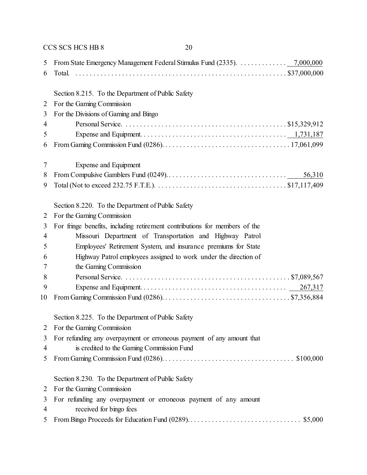|    | CCS SCS HCS HB 8<br>20                                                     |
|----|----------------------------------------------------------------------------|
| 5  | From State Emergency Management Federal Stimulus Fund (2335). 7,000,000    |
| 6  | Total.                                                                     |
|    | Section 8.215. To the Department of Public Safety                          |
| 2  | For the Gaming Commission                                                  |
| 3  | For the Divisions of Gaming and Bingo                                      |
| 4  |                                                                            |
| 5  |                                                                            |
| 6  |                                                                            |
| 7  | Expense and Equipment                                                      |
| 8  | 56,310                                                                     |
| 9  |                                                                            |
|    | Section 8.220. To the Department of Public Safety                          |
| 2  | For the Gaming Commission                                                  |
| 3  | For fringe benefits, including retirement contributions for members of the |
| 4  | Missouri Department of Transportation and Highway Patrol                   |
| 5  | Employees' Retirement System, and insurance premiums for State             |
| 6  | Highway Patrol employees assigned to work under the direction of           |
| 7  | the Gaming Commission                                                      |
| 8  |                                                                            |
| 9  | 267,317                                                                    |
| 10 |                                                                            |
|    | Section 8.225. To the Department of Public Safety                          |
| 2  | For the Gaming Commission                                                  |
| 3  | For refunding any overpayment or erroneous payment of any amount that      |
| 4  | is credited to the Gaming Commission Fund                                  |
| 5  |                                                                            |
|    | Section 8.230. To the Department of Public Safety                          |
| 2  | For the Gaming Commission                                                  |
| 3  | For refunding any overpayment or erroneous payment of any amount           |
| 4  | received for bingo fees                                                    |
| 5  |                                                                            |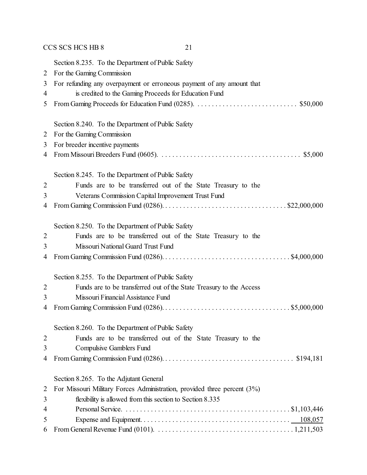|                | CCS SCS HCS HB 8<br>21                                                   |
|----------------|--------------------------------------------------------------------------|
|                | Section 8.235. To the Department of Public Safety                        |
| 2              | For the Gaming Commission                                                |
| 3              | For refunding any overpayment or erroneous payment of any amount that    |
| 4              | is credited to the Gaming Proceeds for Education Fund                    |
| 5              |                                                                          |
|                | Section 8.240. To the Department of Public Safety                        |
| 2              | For the Gaming Commission                                                |
| 3              | For breeder incentive payments                                           |
| 4              |                                                                          |
|                | Section 8.245. To the Department of Public Safety                        |
| $\overline{2}$ | Funds are to be transferred out of the State Treasury to the             |
| 3              | Veterans Commission Capital Improvement Trust Fund                       |
| 4              |                                                                          |
|                | Section 8.250. To the Department of Public Safety                        |
| 2              | Funds are to be transferred out of the State Treasury to the             |
| 3              | Missouri National Guard Trust Fund                                       |
| 4              |                                                                          |
|                | Section 8.255. To the Department of Public Safety                        |
| 2              | Funds are to be transferred out of the State Treasury to the Access      |
| 3              | Missouri Financial Assistance Fund                                       |
| 4              |                                                                          |
|                | Section 8.260. To the Department of Public Safety                        |
| $\overline{2}$ | Funds are to be transferred out of the State Treasury to the             |
| 3              | Compulsive Gamblers Fund                                                 |
| 4              |                                                                          |
|                | Section 8.265. To the Adjutant General                                   |
| 2              | For Missouri Military Forces Administration, provided three percent (3%) |
| 3              | flexibility is allowed from this section to Section 8.335                |
| 4              |                                                                          |
| 5              |                                                                          |
| 6              |                                                                          |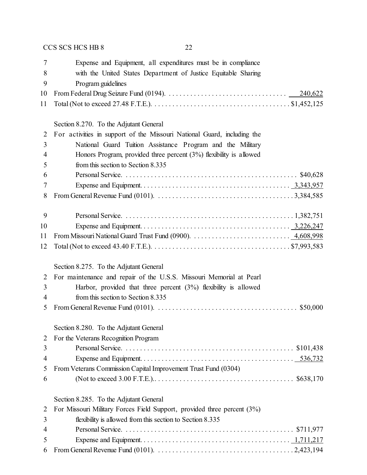| 7              | Expense and Equipment, all expenditures must be in compliance                                                                           |  |
|----------------|-----------------------------------------------------------------------------------------------------------------------------------------|--|
| 8              | with the United States Department of Justice Equitable Sharing                                                                          |  |
| 9              | Program guidelines                                                                                                                      |  |
| 10             | 240,622                                                                                                                                 |  |
| 11             |                                                                                                                                         |  |
|                |                                                                                                                                         |  |
|                | Section 8.270. To the Adjutant General                                                                                                  |  |
| $\overline{2}$ | For activities in support of the Missouri National Guard, including the                                                                 |  |
| 3              | National Guard Tuition Assistance Program and the Military                                                                              |  |
| 4              | Honors Program, provided three percent $(3%)$ flexibility is allowed                                                                    |  |
| 5              | from this section to Section 8.335                                                                                                      |  |
| 6              |                                                                                                                                         |  |
| 7              |                                                                                                                                         |  |
| 8              |                                                                                                                                         |  |
|                |                                                                                                                                         |  |
| 9              |                                                                                                                                         |  |
| 10             |                                                                                                                                         |  |
| 11             |                                                                                                                                         |  |
| 12             |                                                                                                                                         |  |
|                | Section 8.275. To the Adjutant General                                                                                                  |  |
| 2              | For maintenance and repair of the U.S.S. Missouri Memorial at Pearl                                                                     |  |
| 3              | Harbor, provided that three percent $(3%)$ flexibility is allowed                                                                       |  |
| 4              | from this section to Section 8.335                                                                                                      |  |
| 5              | From General Revenue Fund (0101). $\ldots \ldots \ldots \ldots \ldots \ldots \ldots \ldots \ldots \ldots \ldots \ldots \ldots$ \$50,000 |  |
|                |                                                                                                                                         |  |
|                | Section 8.280. To the Adjutant General                                                                                                  |  |
| 2              | For the Veterans Recognition Program                                                                                                    |  |
| 3              |                                                                                                                                         |  |
| 4              |                                                                                                                                         |  |
| 5              | From Veterans Commission Capital Improvement Trust Fund (0304)                                                                          |  |
| 6              |                                                                                                                                         |  |
|                | Section 8.285. To the Adjutant General                                                                                                  |  |
| 2              | For Missouri Military Forces Field Support, provided three percent (3%)                                                                 |  |
| 3              | flexibility is allowed from this section to Section 8.335                                                                               |  |
| 4              |                                                                                                                                         |  |
| 5              |                                                                                                                                         |  |
| 6              |                                                                                                                                         |  |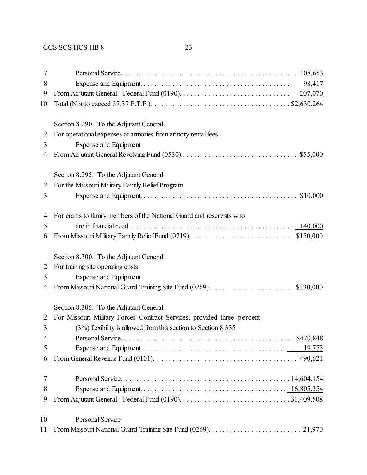| 7              |                                                                                                                                   |
|----------------|-----------------------------------------------------------------------------------------------------------------------------------|
| 8              |                                                                                                                                   |
| 9              |                                                                                                                                   |
| 10             | Total (Not to exceed 37.37 F.T.E.). $\dots \dots \dots \dots \dots \dots \dots \dots \dots \dots \dots \dots \dots \$ \$2,630,264 |
|                |                                                                                                                                   |
|                | Section 8.290. To the Adjutant General                                                                                            |
| $\overline{2}$ | For operational expenses at armories from armory rental fees                                                                      |
| 3              | Expense and Equipment                                                                                                             |
| 4              |                                                                                                                                   |
|                | Section 8.295. To the Adjutant General                                                                                            |
| 2              | For the Missouri Military Family Relief Program                                                                                   |
| 3              |                                                                                                                                   |
|                | For grants to family members of the National Guard and reservists who                                                             |
| 4              |                                                                                                                                   |
| 5<br>6         |                                                                                                                                   |
|                |                                                                                                                                   |
|                | Section 8.300. To the Adjutant General                                                                                            |
| 2              | For training site operating costs                                                                                                 |
| 3              | Expense and Equipment                                                                                                             |
| 4              |                                                                                                                                   |
|                | Section 8.305. To the Adjutant General                                                                                            |
| 2              | For Missouri Military Forces Contract Services, provided three percent                                                            |
| 3              | $(3%)$ flexibility is allowed from this section to Section 8.335                                                                  |
| 4              |                                                                                                                                   |
| 5              |                                                                                                                                   |
| 6              |                                                                                                                                   |
|                |                                                                                                                                   |
| 7              |                                                                                                                                   |
| 8              |                                                                                                                                   |
| 9              |                                                                                                                                   |
| 10             | <b>Personal Service</b>                                                                                                           |
| 11             |                                                                                                                                   |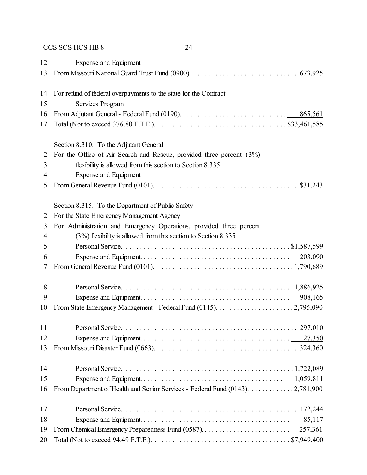| 12             | <b>Expense and Equipment</b>                                                                                              |
|----------------|---------------------------------------------------------------------------------------------------------------------------|
| 13             |                                                                                                                           |
|                |                                                                                                                           |
| 14             | For refund of federal overpayments to the state for the Contract                                                          |
| 15             | Services Program                                                                                                          |
| 16             |                                                                                                                           |
| 17             |                                                                                                                           |
|                |                                                                                                                           |
|                | Section 8.310. To the Adjutant General                                                                                    |
| 2              | For the Office of Air Search and Rescue, provided three percent $(3%)$                                                    |
| 3              | flexibility is allowed from this section to Section 8.335                                                                 |
| 4              | Expense and Equipment                                                                                                     |
| 5              | From General Revenue Fund (0101). $\ldots \ldots \ldots \ldots \ldots \ldots \ldots \ldots \ldots \ldots \ldots$ \$31,243 |
|                | Section 8.315. To the Department of Public Safety                                                                         |
| 2              | For the State Emergency Management Agency                                                                                 |
| 3              | For Administration and Emergency Operations, provided three percent                                                       |
| $\overline{4}$ | $(3%)$ flexibility is allowed from this section to Section 8.335                                                          |
| 5              |                                                                                                                           |
| 6              |                                                                                                                           |
| 7              |                                                                                                                           |
|                |                                                                                                                           |
| 8              |                                                                                                                           |
| 9              |                                                                                                                           |
| 10             |                                                                                                                           |
|                |                                                                                                                           |
| 11             |                                                                                                                           |
| 12             |                                                                                                                           |
| 13             |                                                                                                                           |
|                |                                                                                                                           |
| 14             |                                                                                                                           |
| 15             |                                                                                                                           |
| 16             | From Department of Health and Senior Services - Federal Fund (0143). 2,781,900                                            |
| 17             |                                                                                                                           |
| 18             | 85,117                                                                                                                    |
| 19             |                                                                                                                           |
| 20             |                                                                                                                           |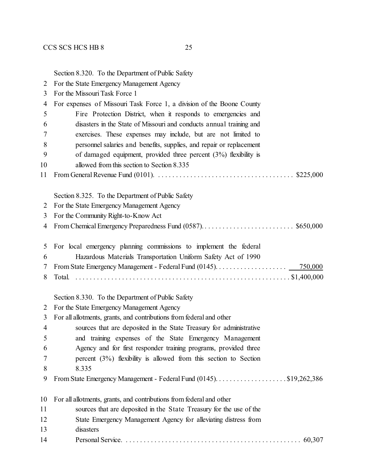| 2                                                                          | For the State Emergency Management Agency                            |  |  |
|----------------------------------------------------------------------------|----------------------------------------------------------------------|--|--|
| 3                                                                          | For the Missouri Task Force 1                                        |  |  |
| For expenses of Missouri Task Force 1, a division of the Boone County<br>4 |                                                                      |  |  |
| Fire Protection District, when it responds to emergencies and<br>5         |                                                                      |  |  |
| 6                                                                          | disasters in the State of Missouri and conducts annual training and  |  |  |
| 7                                                                          | exercises. These expenses may include, but are not limited to        |  |  |
| 8                                                                          | personnel salaries and benefits, supplies, and repair or replacement |  |  |
| 9                                                                          | of damaged equipment, provided three percent $(3%)$ flexibility is   |  |  |
| 10                                                                         | allowed from this section to Section 8.335                           |  |  |
| 11                                                                         |                                                                      |  |  |
|                                                                            | Section 8.325. To the Department of Public Safety                    |  |  |
| 2                                                                          | For the State Emergency Management Agency                            |  |  |
| 3                                                                          | For the Community Right-to-Know Act                                  |  |  |
| 4                                                                          |                                                                      |  |  |
| 5                                                                          | For local emergency planning commissions to implement the federal    |  |  |
| 6                                                                          | Hazardous Materials Transportation Uniform Safety Act of 1990        |  |  |
| 7                                                                          |                                                                      |  |  |
| 8                                                                          |                                                                      |  |  |
|                                                                            | Section 8.330. To the Department of Public Safety                    |  |  |
| 2                                                                          | For the State Emergency Management Agency                            |  |  |
| 3                                                                          | For all allotments, grants, and contributions from federal and other |  |  |
| $\overline{4}$                                                             | sources that are deposited in the State Treasury for administrative  |  |  |
| 5                                                                          | and training expenses of the State Emergency Management              |  |  |
| 6                                                                          | Agency and for first responder training programs, provided three     |  |  |
| 7                                                                          | percent $(3\%)$ flexibility is allowed from this section to Section  |  |  |
| 8                                                                          | 8.335                                                                |  |  |
| 9                                                                          | From State Emergency Management - Federal Fund (0145). \$19,262,386  |  |  |
| 10                                                                         | For all allotments, grants, and contributions from federal and other |  |  |
| 11                                                                         | sources that are deposited in the State Treasury for the use of the  |  |  |
| 12                                                                         | State Emergency Management Agency for alleviating distress from      |  |  |
| 13                                                                         | disasters                                                            |  |  |
| 14                                                                         | 60,307                                                               |  |  |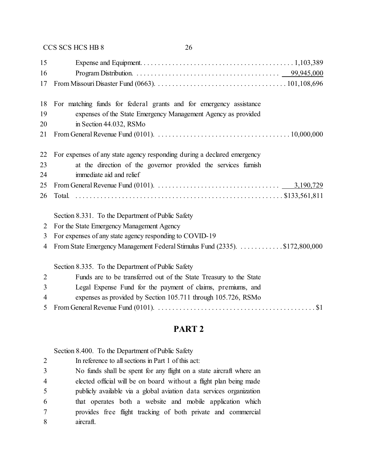|                | CCS SCS HCS HB 8<br>26                                                                                       |
|----------------|--------------------------------------------------------------------------------------------------------------|
| 15             |                                                                                                              |
| 16             |                                                                                                              |
| 17             |                                                                                                              |
| 18             | For matching funds for federal grants and for emergency assistance                                           |
| 19             | expenses of the State Emergency Management Agency as provided                                                |
| 20             | in Section 44.032, RSMo                                                                                      |
| 21             |                                                                                                              |
| 22             | For expenses of any state agency responding during a declared emergency                                      |
| 23             | at the direction of the governor provided the services furnish                                               |
| 24             | immediate aid and relief                                                                                     |
| 25             | From General Revenue Fund (0101). $\ldots \ldots \ldots \ldots \ldots \ldots \ldots \ldots \ldots$ 3,190,729 |
| 26             |                                                                                                              |
|                | Section 8.331. To the Department of Public Safety                                                            |
| 2              | For the State Emergency Management Agency                                                                    |
| 3              | For expenses of any state agency responding to COVID-19                                                      |
| 4              | From State Emergency Management Federal Stimulus Fund (2335). \$172,800,000                                  |
|                | Section 8.335. To the Department of Public Safety                                                            |
| $\overline{2}$ | Funds are to be transferred out of the State Treasury to the State                                           |
| 3              | Legal Expense Fund for the payment of claims, premiums, and                                                  |
| 4              | expenses as provided by Section 105.711 through 105.726, RSMo                                                |
| 5              |                                                                                                              |

## **PART 2**

Section 8.400. To the Department of Public Safety

 In reference to all sections in Part 1 of this act: No funds shall be spent for any flight on a state aircraft where an elected official will be on board without a flight plan being made publicly available via a global aviation data services organization that operates both a website and mobile application which provides free flight tracking of both private and commercial aircraft.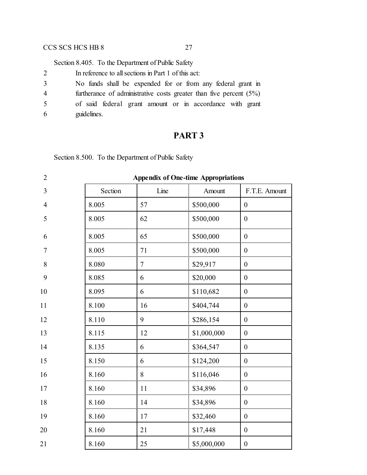Section 8.405. To the Department of Public Safety

| 2 | In reference to all sections in Part 1 of this act:                   |
|---|-----------------------------------------------------------------------|
| 3 | No funds shall be expended for or from any federal grant in           |
| 4 | furtherance of administrative costs greater than five percent $(5\%)$ |
| 5 | of said federal grant amount or in accordance with grant              |
| 6 | guidelines.                                                           |

### **PART 3**

Section 8.500. To the Department of Public Safety

| $\overline{2}$ | <b>Appendix of One-time Appropriations</b> |        |             |                  |  |
|----------------|--------------------------------------------|--------|-------------|------------------|--|
| $\overline{3}$ | Section                                    | Line   | Amount      | F.T.E. Amount    |  |
| $\overline{4}$ | 8.005                                      | 57     | \$500,000   | $\boldsymbol{0}$ |  |
| 5              | 8.005                                      | 62     | \$500,000   | $\boldsymbol{0}$ |  |
| 6              | 8.005                                      | 65     | \$500,000   | $\boldsymbol{0}$ |  |
| $\tau$         | 8.005                                      | 71     | \$500,000   | $\boldsymbol{0}$ |  |
| $8\,$          | 8.080                                      | $\tau$ | \$29,917    | $\boldsymbol{0}$ |  |
| 9              | 8.085                                      | 6      | \$20,000    | $\boldsymbol{0}$ |  |
| 10             | 8.095                                      | 6      | \$110,682   | $\boldsymbol{0}$ |  |
| 11             | 8.100                                      | 16     | \$404,744   | $\boldsymbol{0}$ |  |
| 12             | 8.110                                      | 9      | \$286,154   | $\boldsymbol{0}$ |  |
| 13             | 8.115                                      | 12     | \$1,000,000 | $\boldsymbol{0}$ |  |
| 14             | 8.135                                      | 6      | \$364,547   | $\boldsymbol{0}$ |  |
| 15             | 8.150                                      | 6      | \$124,200   | $\boldsymbol{0}$ |  |
| 16             | 8.160                                      | 8      | \$116,046   | $\boldsymbol{0}$ |  |
| 17             | 8.160                                      | 11     | \$34,896    | $\boldsymbol{0}$ |  |
| 18             | 8.160                                      | 14     | \$34,896    | $\boldsymbol{0}$ |  |
| 19             | 8.160                                      | 17     | \$32,460    | $\boldsymbol{0}$ |  |
| 20             | 8.160                                      | 21     | \$17,448    | $\boldsymbol{0}$ |  |
| 21             | 8.160                                      | 25     | \$5,000,000 | $\boldsymbol{0}$ |  |